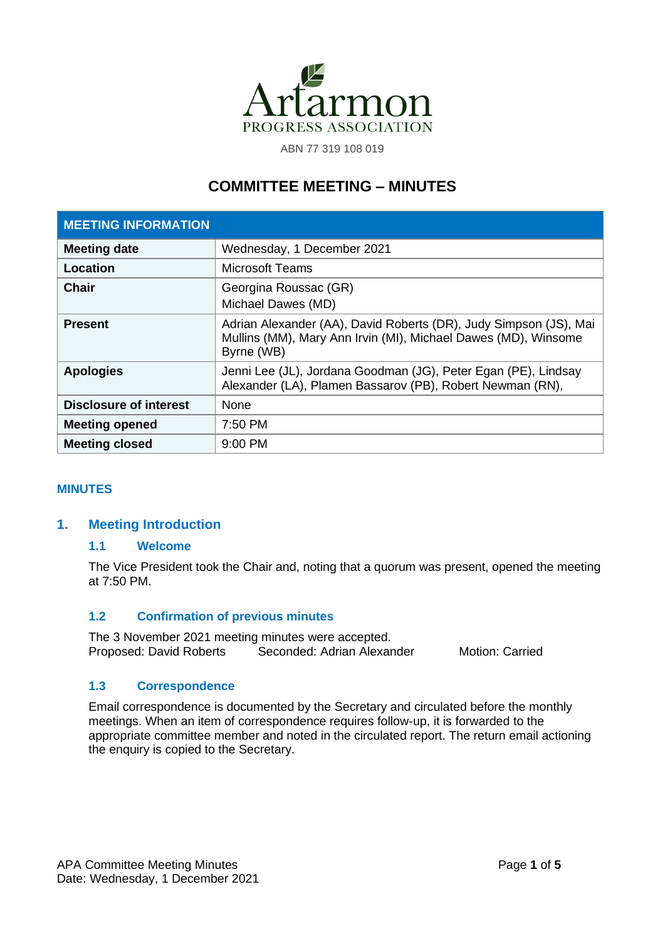

ABN 77 319 108 019

# **COMMITTEE MEETING – MINUTES**

| <b>MEETING INFORMATION</b>    |                                                                                                                                                   |
|-------------------------------|---------------------------------------------------------------------------------------------------------------------------------------------------|
| <b>Meeting date</b>           | Wednesday, 1 December 2021                                                                                                                        |
| Location                      | <b>Microsoft Teams</b>                                                                                                                            |
| <b>Chair</b>                  | Georgina Roussac (GR)<br>Michael Dawes (MD)                                                                                                       |
| <b>Present</b>                | Adrian Alexander (AA), David Roberts (DR), Judy Simpson (JS), Mai<br>Mullins (MM), Mary Ann Irvin (MI), Michael Dawes (MD), Winsome<br>Byrne (WB) |
| <b>Apologies</b>              | Jenni Lee (JL), Jordana Goodman (JG), Peter Egan (PE), Lindsay<br>Alexander (LA), Plamen Bassarov (PB), Robert Newman (RN),                       |
| <b>Disclosure of interest</b> | <b>None</b>                                                                                                                                       |
| <b>Meeting opened</b>         | 7:50 PM                                                                                                                                           |
| <b>Meeting closed</b>         | $9:00$ PM                                                                                                                                         |

## **MINUTES**

## **1. Meeting Introduction**

## **1.1 Welcome**

The Vice President took the Chair and, noting that a quorum was present, opened the meeting at 7:50 PM.

## **1.2 Confirmation of previous minutes**

The 3 November 2021 meeting minutes were accepted.<br>Proposed: David Roberts Seconded: Adrian Alexar **Proposed: Adrian Alexander Motion: Carried Motion: Carried** 

## **1.3 Correspondence**

Email correspondence is documented by the Secretary and circulated before the monthly meetings. When an item of correspondence requires follow-up, it is forwarded to the appropriate committee member and noted in the circulated report. The return email actioning the enquiry is copied to the Secretary.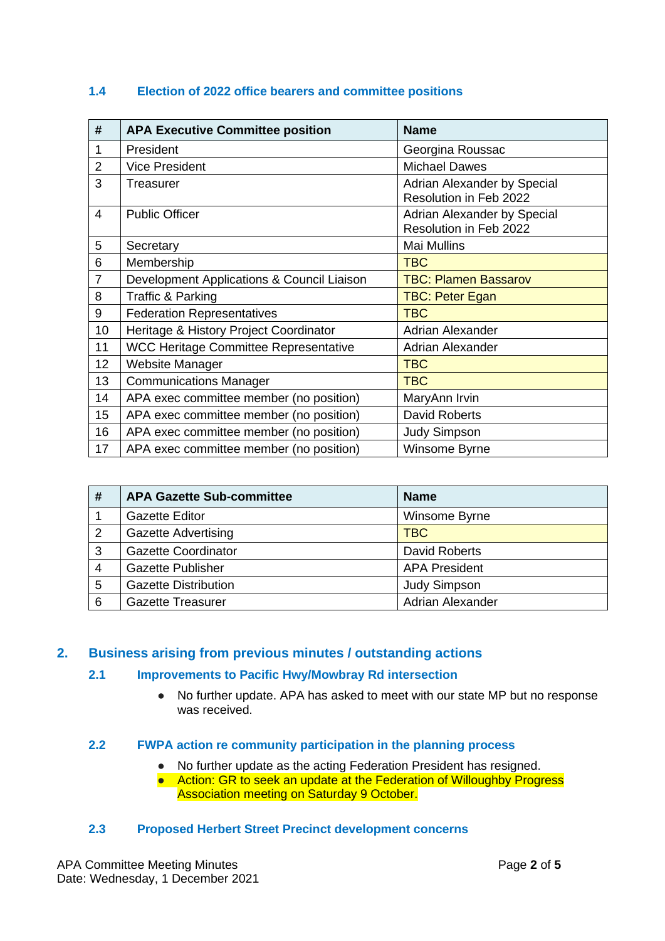| #              | <b>APA Executive Committee position</b>      | <b>Name</b>                                           |
|----------------|----------------------------------------------|-------------------------------------------------------|
| 1              | President                                    | Georgina Roussac                                      |
| $\overline{2}$ | <b>Vice President</b>                        | <b>Michael Dawes</b>                                  |
| 3              | Treasurer                                    | Adrian Alexander by Special<br>Resolution in Feb 2022 |
| 4              | <b>Public Officer</b>                        | Adrian Alexander by Special<br>Resolution in Feb 2022 |
| 5              | Secretary                                    | <b>Mai Mullins</b>                                    |
| 6              | Membership                                   | <b>TBC</b>                                            |
| $\overline{7}$ | Development Applications & Council Liaison   | <b>TBC: Plamen Bassarov</b>                           |
| 8              | <b>Traffic &amp; Parking</b>                 | <b>TBC: Peter Egan</b>                                |
| 9              | <b>Federation Representatives</b>            | <b>TBC</b>                                            |
| 10             | Heritage & History Project Coordinator       | <b>Adrian Alexander</b>                               |
| 11             | <b>WCC Heritage Committee Representative</b> | <b>Adrian Alexander</b>                               |
| 12             | <b>Website Manager</b>                       | <b>TBC</b>                                            |
| 13             | <b>Communications Manager</b>                | <b>TBC</b>                                            |
| 14             | APA exec committee member (no position)      | MaryAnn Irvin                                         |
| 15             | APA exec committee member (no position)      | <b>David Roberts</b>                                  |
| 16             | APA exec committee member (no position)      | <b>Judy Simpson</b>                                   |
| 17             | APA exec committee member (no position)      | Winsome Byrne                                         |

## **1.4 Election of 2022 office bearers and committee positions**

| # | <b>APA Gazette Sub-committee</b> | <b>Name</b>          |
|---|----------------------------------|----------------------|
|   | <b>Gazette Editor</b>            | Winsome Byrne        |
| 2 | <b>Gazette Advertising</b>       | <b>TBC</b>           |
| 3 | <b>Gazette Coordinator</b>       | <b>David Roberts</b> |
| 4 | <b>Gazette Publisher</b>         | <b>APA President</b> |
| 5 | <b>Gazette Distribution</b>      | <b>Judy Simpson</b>  |
| 6 | <b>Gazette Treasurer</b>         | Adrian Alexander     |

## **2. Business arising from previous minutes / outstanding actions**

## **2.1 Improvements to Pacific Hwy/Mowbray Rd intersection**

• No further update. APA has asked to meet with our state MP but no response was received.

## **2.2 FWPA action re community participation in the planning process**

- No further update as the acting Federation President has resigned.
- Action: GR to seek an update at the Federation of Willoughby Progress Association meeting on Saturday 9 October.

## **2.3 Proposed Herbert Street Precinct development concerns**

APA Committee Meeting Minutes **Page 2** of 5 Date: Wednesday, 1 December 2021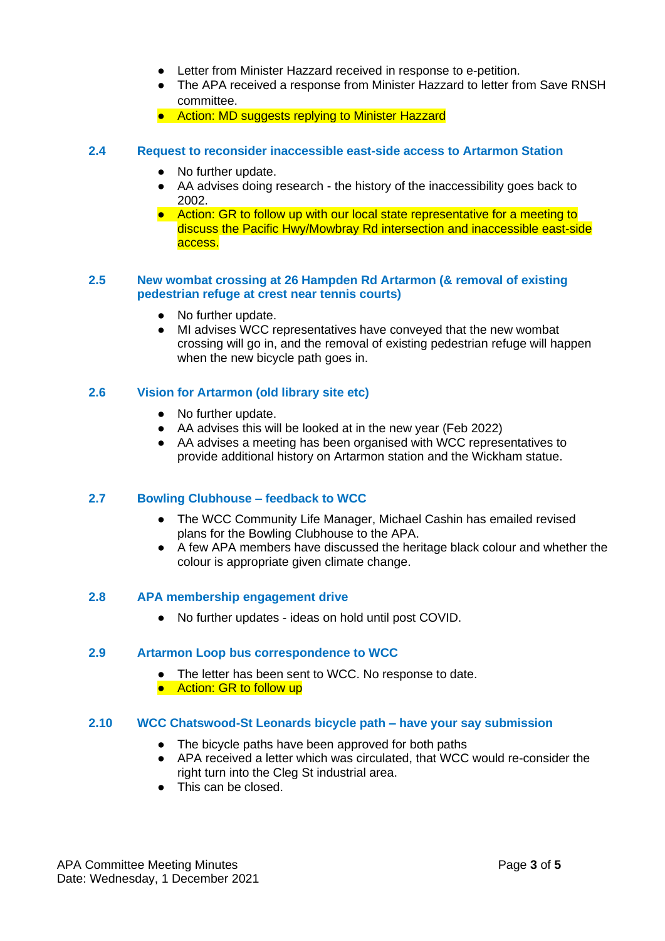- Letter from Minister Hazzard received in response to e-petition.
- The APA received a response from Minister Hazzard to letter from Save RNSH committee.
- Action: MD suggests replying to Minister Hazzard
- **2.4 Request to reconsider inaccessible east-side access to Artarmon Station**
	- No further update.
	- AA advises doing research the history of the inaccessibility goes back to 2002.
	- Action: GR to follow up with our local state representative for a meeting to discuss the Pacific Hwy/Mowbray Rd intersection and inaccessible east-side access.

#### **2.5 New wombat crossing at 26 Hampden Rd Artarmon (& removal of existing pedestrian refuge at crest near tennis courts)**

- No further update.
- MI advises WCC representatives have conveyed that the new wombat crossing will go in, and the removal of existing pedestrian refuge will happen when the new bicycle path goes in.

#### **2.6 Vision for Artarmon (old library site etc)**

- No further update.
- AA advises this will be looked at in the new year (Feb 2022)
- AA advises a meeting has been organised with WCC representatives to provide additional history on Artarmon station and the Wickham statue.

## **2.7 Bowling Clubhouse – feedback to WCC**

- The WCC Community Life Manager, Michael Cashin has emailed revised plans for the Bowling Clubhouse to the APA.
- A few APA members have discussed the heritage black colour and whether the colour is appropriate given climate change.

## **2.8 APA membership engagement drive**

● No further updates - ideas on hold until post COVID.

#### **2.9 Artarmon Loop bus correspondence to WCC**

- The letter has been sent to WCC. No response to date.
- Action: GR to follow up

#### **2.10 WCC Chatswood-St Leonards bicycle path – have your say submission**

- The bicycle paths have been approved for both paths
- APA received a letter which was circulated, that WCC would re-consider the right turn into the Cleg St industrial area.
- This can be closed.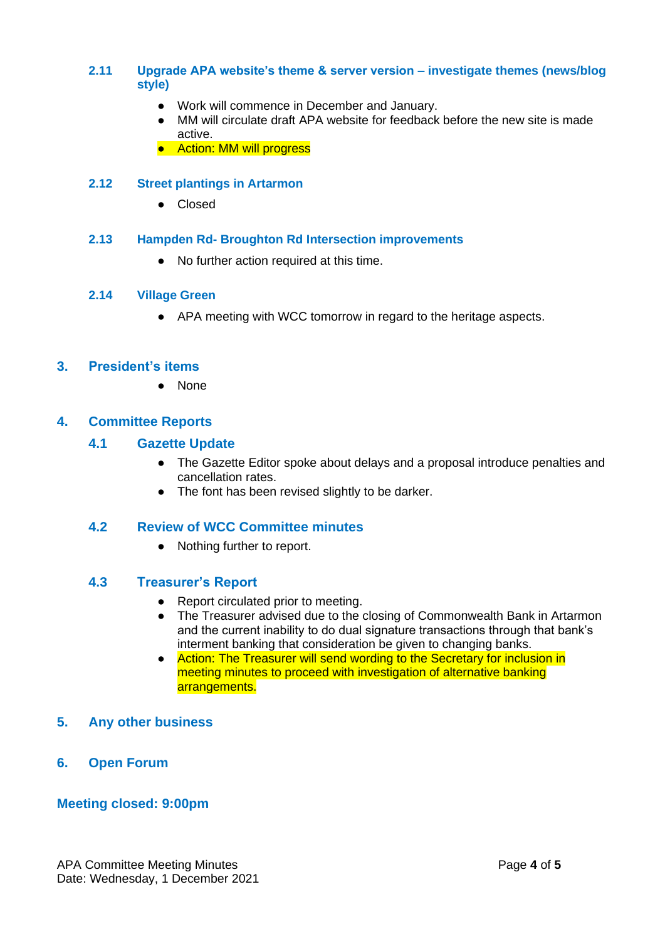## **2.11 Upgrade APA website's theme & server version – investigate themes (news/blog style)**

- Work will commence in December and January.
- MM will circulate draft APA website for feedback before the new site is made active.
- Action: MM will progress

## **2.12 Street plantings in Artarmon**

● Closed

## **2.13 Hampden Rd- Broughton Rd Intersection improvements**

● No further action required at this time.

#### **2.14 Village Green**

● APA meeting with WCC tomorrow in regard to the heritage aspects.

## **3. President's items**

● None

## **4. Committee Reports**

## **4.1 Gazette Update**

- The Gazette Editor spoke about delays and a proposal introduce penalties and cancellation rates.
- The font has been revised slightly to be darker.

## **4.2 Review of WCC Committee minutes**

● Nothing further to report.

## **4.3 Treasurer's Report**

- Report circulated prior to meeting.
- The Treasurer advised due to the closing of Commonwealth Bank in Artarmon and the current inability to do dual signature transactions through that bank's interment banking that consideration be given to changing banks.
- Action: The Treasurer will send wording to the Secretary for inclusion in meeting minutes to proceed with investigation of alternative banking arrangements.

## **5. Any other business**

**6. Open Forum**

## **Meeting closed: 9:00pm**